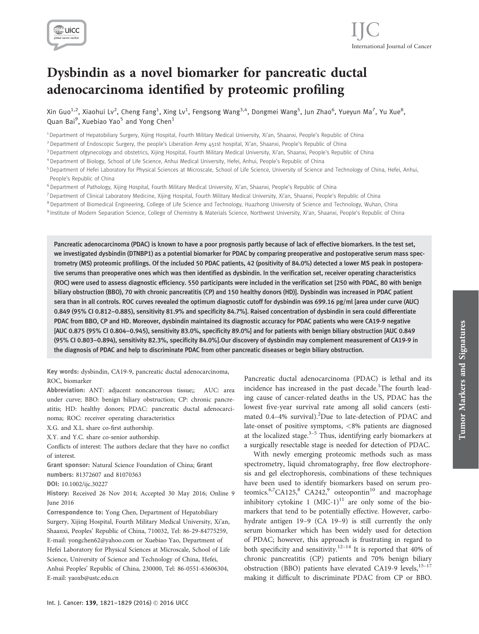

# Dysbindin as a novel biomarker for pancreatic ductal adenocarcinoma identified by proteomic profiling

Xin Guo $^{1,2}$ , Xiaohui Lv $^2$ , Cheng Fang $^1$ , Xing Lv $^1$ , Fengsong Wang $^{3,4}$ , Dongmei Wang $^5$ , Jun Zhao $^6$ , Yueyun Ma $^7$ , Yu Xue $^8$ , Quan Bai<sup>9</sup>, Xuebiao Yao<sup>5</sup> and Yong Chen<sup>1</sup>

1 Department of Hepatobiliary Surgery, Xijing Hospital, Fourth Military Medical University, Xi'an, Shaanxi, People's Republic of China

<sup>2</sup> Department of Endoscopic Surgery, the people's Liberation Army 451st hospital, Xi'an, Shaanxi, People's Republic of China

<sup>3</sup> Department ofgynecology and obstetrics, Xijing Hospital, Fourth Military Medical University, Xi'an, Shaanxi, People's Republic of China

<sup>4</sup> Department of Biology, School of Life Science, Anhui Medical University, Hefei, Anhui, People's Republic of China

<sup>5</sup> Department of Hefei Laboratory for Physical Sciences at Microscale, School of Life Science, University of Science and Technology of China, Hefei, Anhui, People's Republic of China

<sup>6</sup> Department of Pathology, Xijing Hospital, Fourth Military Medical University, Xi'an, Shaanxi, People's Republic of China

<sup>7</sup> Department of Clinical Laboratory Medicine, Xijing Hospital, Fourth Military Medical University, Xi'an, Shaanxi, People's Republic of China

<sup>8</sup> Department of Biomedical Engineering, College of Life Science and Technology, Huazhong University of Science and Technology, Wuhan, China

9 Institute of Modern Separation Science, College of Chemistry & Materials Science, Northwest University, Xi'an, Shaanxi, People's Republic of China

Pancreatic adenocarcinoma (PDAC) is known to have a poor prognosis partly because of lack of effective biomarkers. In the test set, we investigated dysbindin (DTNBP1) as a potential biomarker for PDAC by comparing preoperative and postoperative serum mass spectrometry (MS) proteomic profilings. Of the included 50 PDAC patients, 42 (positivity of 84.0%) detected a lower MS peak in postoperative serums than preoperative ones which was then identified as dysbindin. In the verification set, receiver operating characteristics (ROC) were used to assess diagnostic efficiency. 550 participants were included in the verification set [250 with PDAC, 80 with benign biliary obstruction (BBO), 70 with chronic pancreatitis (CP) and 150 healthy donors (HD)]. Dysbindin was increased in PDAC patient sera than in all controls. ROC curves revealed the optimum diagnostic cutoff for dysbindin was 699.16 pg/ml [area under curve (AUC) 0.849 (95% CI 0.812–0.885), sensitivity 81.9% and specificity 84.7%]. Raised concentration of dysbindin in sera could differentiate PDAC from BBO, CP and HD. Moreover, dysbindin maintained its diagnostic accuracy for PDAC patients who were CA19-9 negative [AUC 0.875 (95% CI 0.804–0.945), sensitivity 83.0%, specificity 89.0%] and for patients with benign biliary obstruction [AUC 0.849 (95% CI 0.803–0.894), sensitivity 82.3%, specificity 84.0%].Our discovery of dysbindin may complement measurement of CA19-9 in the diagnosis of PDAC and help to discriminate PDAC from other pancreatic diseases or begin biliary obstruction.

Key words: dysbindin, CA19-9, pancreatic ductal adenocarcinoma,

# ROC, biomarker

Abbreviation: ANT: adjacent noncancerous tissue;; AUC: area under curve; BBO: benign biliary obstruction; CP: chronic pancreatitis; HD: healthy donors; PDAC: pancreatic ductal adenocarcinoma; ROC: receiver operating characteristics

X.G. and X.L. share co-first authorship.

X.Y. and Y.C. share co-senior authorship.

Conflicts of interest: The authors declare that they have no conflict of interest.

Grant sponsor: Natural Science Foundation of China; Grant

numbers: 81372607 and 81070363

DOI: 10.1002/ijc.30227

History: Received 26 Nov 2014; Accepted 30 May 2016; Online 9 June 2016

Correspondence to: Yong Chen, Department of Hepatobiliary Surgery, Xijing Hospital, Fourth Military Medical University, Xi'an, Shaanxi, Peoples' Republic of China, 710032, Tel: 86-29-84775259, E-mail: yongchen62@yahoo.com or Xuebiao Yao, Department of Hefei Laboratory for Physical Sciences at Microscale, School of Life Science, University of Science and Technology of China, Hefei, Anhui Peoples' Republic of China, 230000, Tel: 86-0551-63606304, E-mail: yaoxb@ustc.edu.cn

Pancreatic ductal adenocarcinoma (PDAC) is lethal and its incidence has increased in the past decade.<sup>1</sup>The fourth leading cause of cancer-related deaths in the US, PDAC has the lowest five-year survival rate among all solid cancers (estimated 0.4-4% survival). <sup>2</sup>Due to late-detection of PDAC and late-onset of positive symptoms, <8% patients are diagnosed at the localized stage. $3-5$  Thus, identifying early biomarkers at a surgically resectable stage is needed for detection of PDAC.

With newly emerging proteomic methods such as mass spectrometry, liquid chromatography, free flow electrophoresis and gel electrophoresis, combinations of these techniques have been used to identify biomarkers based on serum proteomics.<sup>6,7</sup>CA125,<sup>8</sup> CA242,<sup>9</sup> osteopontin<sup>10</sup> and macrophage inhibitory cytokine 1  $(MIC-1)^{11}$  are only some of the biomarkers that tend to be potentially effective. However, carbohydrate antigen 19–9 (CA 19–9) is still currently the only serum biomarker which has been widely used for detection of PDAC; however, this approach is frustrating in regard to both specificity and sensitivity.<sup>12-14</sup> It is reported that 40% of chronic pancreatitis (CP) patients and 70% benign biliary obstruction (BBO) patients have elevated CA19-9 levels, $15-17$ making it difficult to discriminate PDAC from CP or BBO.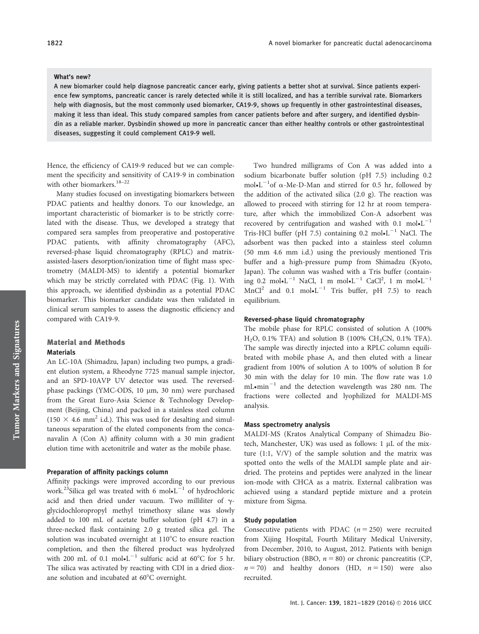#### What's new?

A new biomarker could help diagnose pancreatic cancer early, giving patients a better shot at survival. Since patients experience few symptoms, pancreatic cancer is rarely detected while it is still localized, and has a terrible survival rate. Biomarkers help with diagnosis, but the most commonly used biomarker, CA19-9, shows up frequently in other gastrointestinal diseases, making it less than ideal. This study compared samples from cancer patients before and after surgery, and identified dysbindin as a reliable marker. Dysbindin showed up more in pancreatic cancer than either healthy controls or other gastrointestinal diseases, suggesting it could complement CA19-9 well.

Hence, the efficiency of CA19-9 reduced but we can complement the specificity and sensitivity of CA19-9 in combination with other biomarkers.<sup>18-22</sup>

Many studies focused on investigating biomarkers between PDAC patients and healthy donors. To our knowledge, an important characteristic of biomarker is to be strictly correlated with the disease. Thus, we developed a strategy that compared sera samples from preoperative and postoperative PDAC patients, with affinity chromatography (AFC), reversed-phase liquid chromatography (RPLC) and matrixassisted-lasers desorption/ionization time of flight mass spectrometry (MALDI-MS) to identify a potential biomarker which may be strictly correlated with PDAC (Fig. 1). With this approach, we identified dysbindin as a potential PDAC biomarker. This biomarker candidate was then validated in clinical serum samples to assess the diagnostic efficiency and compared with CA19-9.

## Material and Methods **Materials**

An LC-10A (Shimadzu, Japan) including two pumps, a gradient elution system, a Rheodyne 7725 manual sample injector, and an SPD-10AVP UV detector was used. The reversedphase packings (YMC-ODS, 10 µm, 30 nm) were purchased from the Great Euro-Asia Science & Technology Development (Beijing, China) and packed in a stainless steel column  $(150 \times 4.6 \text{ mm}^2 \text{ i.d.})$ . This was used for desalting and simultaneous separation of the eluted components from the concanavalin A (Con A) affinity column with a 30 min gradient elution time with acetonitrile and water as the mobile phase.

# Preparation of affinity packings column

Affinity packings were improved according to our previous work.<sup>23</sup>Silica gel was treated with 6 mol $\cdot L^{-1}$  of hydrochloric acid and then dried under vacuum. Two milliliter of  $\gamma$ glycidochloropropyl methyl trimethoxy silane was slowly added to 100 mL of acetate buffer solution (pH 4.7) in a three-necked flask containing 2.0 g treated silica gel. The solution was incubated overnight at 110°C to ensure reaction completion, and then the filtered product was hydrolyzed with 200 mL of 0.1 mol $\bullet L^{-1}$  sulfuric acid at 60°C for 5 hr. The silica was activated by reacting with CDI in a dried dioxane solution and incubated at 60°C overnight.

Two hundred milligrams of Con A was added into a sodium bicarbonate buffer solution (pH 7.5) including 0.2 mol•L<sup>-1</sup>of  $\alpha$ -Me-D-Man and stirred for 0.5 hr, followed by the addition of the activated silica (2.0 g). The reaction was allowed to proceed with stirring for 12 hr at room temperature, after which the immobilized Con-A adsorbent was recovered by centrifugation and washed with 0.1  $mol \cdot L^{-1}$ Tris-HCl buffer (pH 7.5) containing 0.2 mol $\cdot L^{-1}$  NaCl. The adsorbent was then packed into a stainless steel column (50 mm 4.6 mm i.d.) using the previously mentioned Tris buffer and a high-pressure pump from Shimadzu (Kyoto, Japan). The column was washed with a Tris buffer (containing 0.2 mol $\cdot L^{-1}$  NaCl, 1 m mol $\cdot L^{-1}$  CaCl<sup>2</sup>, 1 m mol $\cdot L^{-1}$  $MnCl<sup>2</sup>$  and 0.1 mol $\bullet L^{-1}$  Tris buffer, pH 7.5) to reach equilibrium.

# Reversed-phase liquid chromatography

The mobile phase for RPLC consisted of solution A (100%  $H<sub>2</sub>O$ , 0.1% TFA) and solution B (100% CH<sub>3</sub>CN, 0.1% TFA). The sample was directly injected into a RPLC column equilibrated with mobile phase A, and then eluted with a linear gradient from 100% of solution A to 100% of solution B for 30 min with the delay for 10 min. The flow rate was 1.0  $mL$ •min<sup>-1</sup> and the detection wavelength was 280 nm. The fractions were collected and lyophilized for MALDI-MS analysis.

#### Mass spectrometry analysis

MALDI-MS (Kratos Analytical Company of Shimadzu Biotech, Manchester, UK) was used as follows:  $1 \mu L$  of the mixture (1:1, V/V) of the sample solution and the matrix was spotted onto the wells of the MALDI sample plate and airdried. The proteins and peptides were analyzed in the linear ion-mode with CHCA as a matrix. External calibration was achieved using a standard peptide mixture and a protein mixture from Sigma.

## Study population

Consecutive patients with PDAC  $(n = 250)$  were recruited from Xijing Hospital, Fourth Military Medical University, from December, 2010, to August, 2012. Patients with benign biliary obstruction (BBO,  $n = 80$ ) or chronic pancreatitis (CP,  $n = 70$ ) and healthy donors (HD,  $n = 150$ ) were also recruited.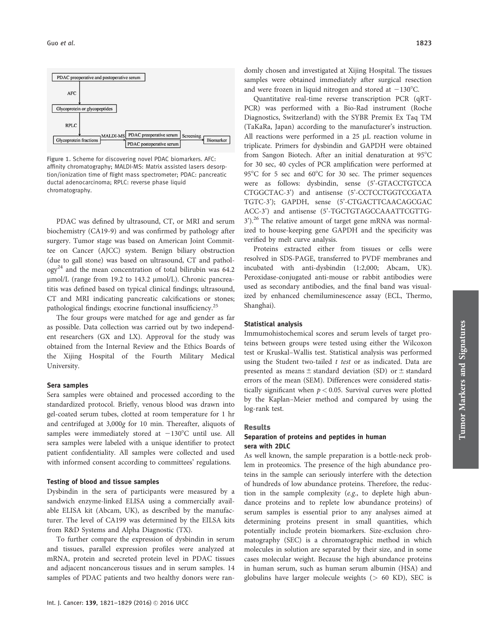

Figure 1. Scheme for discovering novel PDAC biomarkers. AFC: affinity chromatography; MALDI-MS: Matrix assisted lasers desorption/ionization time of flight mass spectrometer; PDAC: pancreatic ductal adenocarcinoma; RPLC: reverse phase liquid chromatography.

PDAC was defined by ultrasound, CT, or MRI and serum biochemistry (CA19-9) and was confirmed by pathology after surgery. Tumor stage was based on American Joint Committee on Cancer (AJCC) system. Benign biliary obstruction (due to gall stone) was based on ultrasound, CT and pathol- $\log y^{24}$  and the mean concentration of total bilirubin was 64.2 µmol/L (range from 19.2 to 143.2 µmol/L). Chronic pancreatitis was defined based on typical clinical findings; ultrasound, CT and MRI indicating pancreatic calcifications or stones; pathological findings; exocrine functional insufficiency.<sup>25</sup>

The four groups were matched for age and gender as far as possible. Data collection was carried out by two independent researchers (GX and LX). Approval for the study was obtained from the Internal Review and the Ethics Boards of the Xijing Hospital of the Fourth Military Medical University.

#### Sera samples

Sera samples were obtained and processed according to the standardized protocol. Briefly, venous blood was drawn into gel-coated serum tubes, clotted at room temperature for 1 hr and centrifuged at 3,000g for 10 min. Thereafter, aliquots of samples were immediately stored at  $-130^{\circ}$ C until use. All sera samples were labeled with a unique identifier to protect patient confidentiality. All samples were collected and used with informed consent according to committees' regulations.

## Testing of blood and tissue samples

Dysbindin in the sera of participants were measured by a sandwich enzyme-linked ELISA using a commercially available ELISA kit (Abcam, UK), as described by the manufacturer. The level of CA199 was determined by the EILSA kits from R&D Systems and Alpha Diagnostic (TX).

To further compare the expression of dysbindin in serum and tissues, parallel expression profiles were analyzed at mRNA, protein and secreted protein level in PDAC tissues and adjacent noncancerous tissues and in serum samples. 14 samples of PDAC patients and two healthy donors were ran-

Quantitative real-time reverse transcription PCR (qRT-PCR) was performed with a Bio-Rad instrument (Roche Diagnostics, Switzerland) with the SYBR Premix Ex Taq TM (TaKaRa, Japan) according to the manufacturer's instruction. All reactions were performed in a  $25$   $\mu$ L reaction volume in triplicate. Primers for dysbindin and GAPDH were obtained from Sangon Biotech. After an initial denaturation at  $95^{\circ}$ C for 30 sec, 40 cycles of PCR amplification were performed at 95 $^{\circ}$ C for 5 sec and 60 $^{\circ}$ C for 30 sec. The primer sequences were as follows: dysbindin, sense (5'-GTACCTGTCCA CTGGCTAC-3') and antisense (5'-CCTCCTGGTCCGATA TGTC-3'); GAPDH, sense (5'-CTGACTTCAACAGCGAC ACC-3') and antisense (5'-TGCTGTAGCCAAATTCGTTG-3').<sup>26</sup> The relative amount of target gene mRNA was normalized to house-keeping gene GAPDH and the specificity was verified by melt curve analysis.

Proteins extracted either from tissues or cells were resolved in SDS-PAGE, transferred to PVDF membranes and incubated with anti-dysbindin (1:2,000; Abcam, UK). Peroxidase-conjugated anti-mouse or rabbit antibodies were used as secondary antibodies, and the final band was visualized by enhanced chemiluminescence assay (ECL, Thermo, Shanghai).

## Statistical analysis

Immumohistochemical scores and serum levels of target proteins between groups were tested using either the Wilcoxon test or Kruskal–Wallis test. Statistical analysis was performed using the Student two-tailed t test or as indicated. Data are presented as means  $\pm$  standard deviation (SD) or  $\pm$  standard errors of the mean (SEM). Differences were considered statistically significant when  $p < 0.05$ . Survival curves were plotted by the Kaplan–Meier method and compared by using the log-rank test.

#### Results

# Separation of proteins and peptides in human sera with 2DLC

As well known, the sample preparation is a bottle-neck problem in proteomics. The presence of the high abundance proteins in the sample can seriously interfere with the detection of hundreds of low abundance proteins. Therefore, the reduction in the sample complexity (e.g., to deplete high abundance proteins and to replete low abundance proteins) of serum samples is essential prior to any analyses aimed at determining proteins present in small quantities, which potentially include protein biomarkers. Size-exclusion chromatography (SEC) is a chromatographic method in which molecules in solution are separated by their size, and in some cases molecular weight. Because the high abundance proteins in human serum, such as human serum albumin (HSA) and globulins have larger molecule weights  $(> 60$  KD), SEC is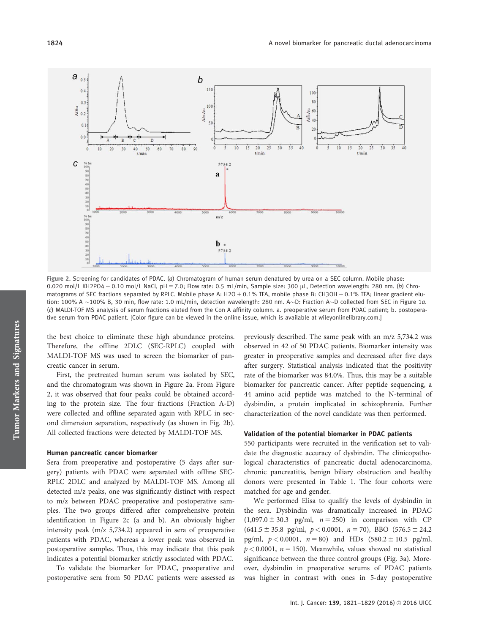

Figure 2. Screening for candidates of PDAC. (a) Chromatogram of human serum denatured by urea on a SEC column. Mobile phase: 0.020 mol/L KH2PO4 + 0.10 mol/L NaCl, pH = 7.0; Flow rate: 0.5 mL/min, Sample size: 300  $\mu$ L, Detection wavelength: 280 nm. (b) Chromatograms of SEC fractions separated by RPLC. Mobile phase A: H2O + 0.1% TFA, mobile phase B: CH3OH + 0.1% TFA; linear gradient elution: 100% A  $\sim$ 100% B, 30 min, flow rate: 1.0 mL/min, detection wavelength: 280 nm. A $\sim$ D: Fraction A $\sim$ D collected from SEC in Figure 1 $a$ . (c) MALDI-TOF MS analysis of serum fractions eluted from the Con A affinity column. a. preoperative serum from PDAC patient; b. postoperative serum from PDAC patient. [Color figure can be viewed in the online issue, which is available at [wileyonlinelibrary.com.](http://wileyonlinelibrary.com)]

the best choice to eliminate these high abundance proteins. Therefore, the offline 2DLC (SEC-RPLC) coupled with MALDI-TOF MS was used to screen the biomarker of pancreatic cancer in serum.

First, the pretreated human serum was isolated by SEC, and the chromatogram was shown in Figure 2a. From Figure 2, it was observed that four peaks could be obtained according to the protein size. The four fractions (Fraction A-D) were collected and offline separated again with RPLC in second dimension separation, respectively (as shown in Fig. 2b). All collected fractions were detected by MALDI-TOF MS.

#### Human pancreatic cancer biomarker

Sera from preoperative and postoperative (5 days after surgery) patients with PDAC were separated with offline SEC-RPLC 2DLC and analyzed by MALDI-TOF MS. Among all detected m/z peaks, one was significantly distinct with respect to m/z between PDAC preoperative and postoperative samples. The two groups differed after comprehensive protein identification in Figure 2c (a and b). An obviously higher intensity peak (m/z 5,734.2) appeared in sera of preoperative patients with PDAC, whereas a lower peak was observed in postoperative samples. Thus, this may indicate that this peak indicates a potential biomarker strictly associated with PDAC.

To validate the biomarker for PDAC, preoperative and postoperative sera from 50 PDAC patients were assessed as previously described. The same peak with an m/z 5,734.2 was observed in 42 of 50 PDAC patients. Biomarker intensity was greater in preoperative samples and decreased after five days after surgery. Statistical analysis indicated that the positivity rate of the biomarker was 84.0%. Thus, this may be a suitable biomarker for pancreatic cancer. After peptide sequencing, a 44 amino acid peptide was matched to the N-terminal of dysbindin, a protein implicated in schizophrenia. Further characterization of the novel candidate was then performed.

#### Validation of the potential biomarker in PDAC patients

550 participants were recruited in the verification set to validate the diagnostic accuracy of dysbindin. The clinicopathological characteristics of pancreatic ductal adenocarcinoma, chronic pancreatitis, benign biliary obstruction and healthy donors were presented in Table 1. The four cohorts were matched for age and gender.

We performed Elisa to qualify the levels of dysbindin in the sera. Dysbindin was dramatically increased in PDAC  $(1,097.0 \pm 30.3 \text{ pg/ml}, n = 250)$  in comparison with CP  $(641.5 \pm 35.8 \text{ pg/ml}, p < 0.0001, n = 70)$ , BBO  $(576.5 \pm 24.2$ pg/ml,  $p < 0.0001$ ,  $n = 80$ ) and HDs  $(580.2 \pm 10.5 \text{ pg/ml})$ ,  $p < 0.0001$ ,  $n = 150$ ). Meanwhile, values showed no statistical significance between the three control groups (Fig. 3a). Moreover, dysbindin in preoperative serums of PDAC patients was higher in contrast with ones in 5-day postoperative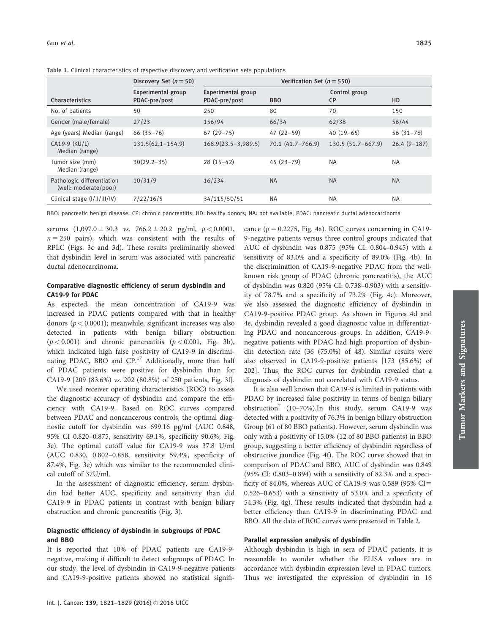|                                                     | Discovery Set $(n = 50)$            | Verification Set ( $n = 550$ )      |                       |                            |               |
|-----------------------------------------------------|-------------------------------------|-------------------------------------|-----------------------|----------------------------|---------------|
| Characteristics                                     | Experimental group<br>PDAC-pre/post | Experimental group<br>PDAC-pre/post | <b>BBO</b>            | Control group<br><b>CP</b> | HD            |
| No. of patients                                     | 50                                  | 250                                 | 80                    | 70                         | 150           |
| Gender (male/female)                                | 27/23                               | 156/94                              | 66/34                 | 62/38                      | 56/44         |
| Age (years) Median (range)                          | $66(35 - 76)$                       | $67(29-75)$                         | $47(22-59)$           | $40(19-65)$                | $56(31-78)$   |
| CA19-9 (KU/L)<br>Median (range)                     | $131.5(62.1 - 154.9)$               | $168.9(23.5 - 3,989.5)$             | $70.1 (41.7 - 766.9)$ | 130.5 (51.7-667.9)         | $26.4(9-187)$ |
| Tumor size (mm)<br>Median (range)                   | $30(29.2 - 35)$                     | $28(15-42)$                         | $45(23 - 79)$         | <b>NA</b>                  | <b>NA</b>     |
| Pathologic differentiation<br>(well: moderate/poor) | 10/31/9                             | 16/234                              | <b>NA</b>             | <b>NA</b>                  | <b>NA</b>     |
| Clinical stage $(I/II/III/IV)$                      | 7/22/16/5                           | 34/115/50/51                        | <b>NA</b>             | <b>NA</b>                  | <b>NA</b>     |

Table 1. Clinical characteristics of respective discovery and verification sets populations

BBO: pancreatic benign disease; CP: chronic pancreatitis; HD: healthy donors; NA: not available; PDAC: pancreatic ductal adenocarcinoma

serums  $(1,097.0 \pm 30.3 \text{ vs. } 766.2 \pm 20.2 \text{ pg/ml}, p < 0.0001,$  $n = 250$  pairs), which was consistent with the results of RPLC (Figs. 3c and 3d). These results preliminarily showed that dysbindin level in serum was associated with pancreatic ductal adenocarcinoma.

# Comparative diagnostic efficiency of serum dysbindin and CA19-9 for PDAC

As expected, the mean concentration of CA19-9 was increased in PDAC patients compared with that in healthy donors ( $p < 0.0001$ ); meanwhile, significant increases was also detected in patients with benign biliary obstruction  $(p < 0.001)$  and chronic pancreatitis  $(p < 0.001,$  Fig. 3b), which indicated high false positivity of CA19-9 in discriminating PDAC, BBO and CP.<sup>17</sup> Additionally, more than half of PDAC patients were positive for dysbindin than for CA19-9 [209 (83.6%) vs. 202 (80.8%) of 250 patients, Fig. 3f].

We used receiver operating characteristics (ROC) to assess the diagnostic accuracy of dysbindin and compare the efficiency with CA19-9. Based on ROC curves compared between PDAC and noncancerous controls, the optimal diagnostic cutoff for dysbindin was 699.16 pg/ml (AUC 0.848, 95% CI 0.820–0.875, sensitivity 69.1%, specificity 90.6%; Fig. 3e). The optimal cutoff value for CA19-9 was 37.8 U/ml (AUC 0.830, 0.802–0.858, sensitivity 59.4%, specificity of 87.4%, Fig. 3e) which was similar to the recommended clinical cutoff of 37U/ml.

In the assessment of diagnostic efficiency, serum dysbindin had better AUC, specificity and sensitivity than did CA19-9 in PDAC patients in contrast with benign biliary obstruction and chronic pancreatitis (Fig. 3).

# Diagnostic efficiency of dysbindin in subgroups of PDAC and BBO

It is reported that 10% of PDAC patients are CA19-9 negative, making it difficult to detect subgroups of PDAC. In our study, the level of dysbindin in CA19-9-negative patients and CA19-9-positive patients showed no statistical significance ( $p = 0.2275$ , Fig. 4a). ROC curves concerning in CA19-9-negative patients versus three control groups indicated that AUC of dysbindin was 0.875 (95% CI: 0.804–0.945) with a sensitivity of 83.0% and a specificity of 89.0% (Fig. 4b). In the discrimination of CA19-9-negative PDAC from the wellknown risk group of PDAC (chronic pancreatitis), the AUC of dysbindin was 0.820 (95% CI: 0.738–0.903) with a sensitivity of 78.7% and a specificity of 73.2% (Fig. 4c). Moreover, we also assessed the diagnostic efficiency of dysbindin in CA19-9-positive PDAC group. As shown in Figures 4d and 4e, dysbindin revealed a good diagnostic value in differentiating PDAC and noncancerous groups. In addition, CA19-9 negative patients with PDAC had high proportion of dysbindin detection rate (36 (75.0%) of 48). Similar results were also observed in CA19-9-positive patients [173 (85.6%) of 202]. Thus, the ROC curves for dysbindin revealed that a diagnosis of dysbindin not correlated with CA19-9 status.

It is also well known that CA19-9 is limited in patients with PDAC by increased false positivity in terms of benign biliary obstruction<sup> $\left(10-70\% \right)$ . In this study, serum CA19-9 was</sup> detected with a positivity of 76.3% in benign biliary obstruction Group (61 of 80 BBO patients). However, serum dysbindin was only with a positivity of 15.0% (12 of 80 BBO patients) in BBO group, suggesting a better efficiency of dysbindin regardless of obstructive jaundice (Fig. 4f). The ROC curve showed that in comparison of PDAC and BBO, AUC of dysbindin was 0.849 (95% CI: 0.803–0.894) with a sensitivity of 82.3% and a specificity of 84.0%, whereas AUC of CA19-9 was 0.589 (95%  $CI =$ 0.526–0.653) with a sensitivity of 53.0% and a specificity of 54.3% (Fig. 4g). These results indicated that dysbindin had a better efficiency than CA19-9 in discriminating PDAC and BBO. All the data of ROC curves were presented in Table 2.

# Parallel expression analysis of dysbindin

Although dysbindin is high in sera of PDAC patients, it is reasonable to wonder whether the ELISA values are in accordance with dysbindin expression level in PDAC tumors. Thus we investigated the expression of dysbindin in 16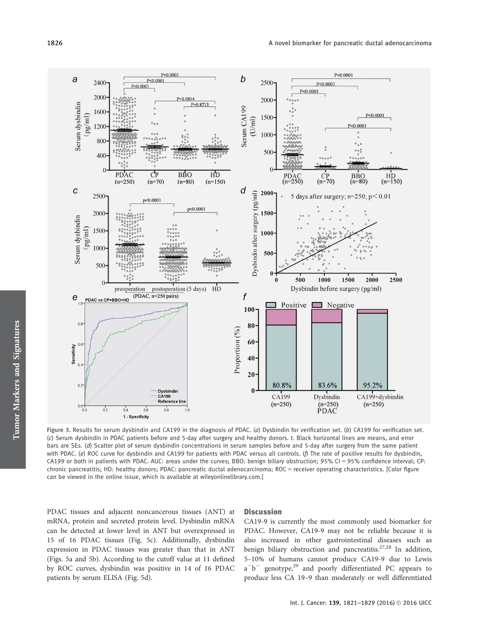

Tumor Markers and Signatures Tumor Markers and Signatures

Figure 3. Results for serum dysbindin and CA199 in the diagnosis of PDAC. (a) Dysbindin for verification set. (b) CA199 for verification set. (c) Serum dysbindin in PDAC patients before and 5-day after surgery and healthy donors. t. Black horizontal lines are means, and error bars are SEs. (d) Scatter plot of serum dysbindin concentrations in serum samples before and 5-day after surgery from the same patient with PDAC. (e) ROC curve for dysbindin and CA199 for patients with PDAC versus all controls. (f) The rate of positive results for dysbindin, CA199 or both in patients with PDAC. AUC: areas under the curves; BBO: benign biliary obstruction; 95% CI = 95% confidence interval; CP: chronic pancreatitis; HD: healthy donors; PDAC: pancreatic ductal adenocarcinoma; ROC = receiver operating characteristics. [Color figure can be viewed in the online issue, which is available at [wileyonlinelibrary.com](http://wileyonlinelibrary.com).]

PDAC tissues and adjacent noncancerous tissues (ANT) at mRNA, protein and secreted protein level. Dysbindin mRNA can be detected at lower level in ANT but overexpressed in 15 of 16 PDAC tissues (Fig. 5c). Additionally, dysbindin expression in PDAC tissues was greater than that in ANT (Figs. 5a and 5b). According to the cutoff value at 11 defined by ROC curves, dysbindin was positive in 14 of 16 PDAC patients by serum ELISA (Fig. 5d).

# **Discussion**

CA19-9 is currently the most commonly used biomarker for PDAC. However, CA19-9 may not be reliable because it is also increased in other gastrointestinal diseases such as benign biliary obstruction and pancreatitis.<sup>27,28</sup> In addition, 5–10% of humans cannot produce CA19-9 due to Lewis a<sup>-b-</sup> genotype,<sup>29</sup> and poorly differentiated PC appears to produce less CA 19–9 than moderately or well differentiated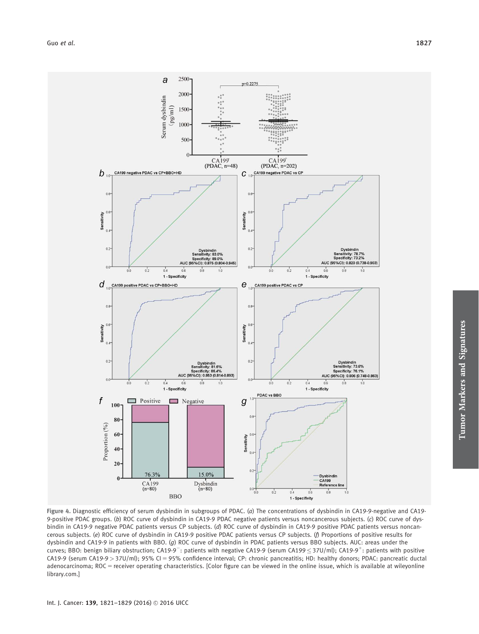

Figure 4. Diagnostic efficiency of serum dysbindin in subgroups of PDAC. (a) The concentrations of dysbindin in CA19-9-negative and CA19- 9-positive PDAC groups. (b) ROC curve of dysbindin in CA19-9 PDAC negative patients versus noncancerous subjects. (c) ROC curve of dysbindin in CA19-9 negative PDAC patients versus CP subjects. (d) ROC curve of dysbindin in CA19-9 positive PDAC patients versus noncancerous subjects. (e) ROC curve of dysbindin in CA19-9 positive PDAC patients versus CP subjects. (f) Proportions of positive results for dysbindin and CA19-9 in patients with BBO. (g) ROC curve of dysbindin in PDAC patients versus BBO subjects. AUC: areas under the curves; BBO: benign biliary obstruction; CA19-9<sup>-</sup>: patients with negative CA19-9 (serum CA199  $\leq$  37U/ml); CA19-9<sup>+</sup>: patients with positive CA19-9 (serum CA19-9 > 37U/ml); 95% CI = 95% confidence interval; CP: chronic pancreatitis; HD: healthy donors; PDAC: pancreatic ductal adenocarcinoma; ROC = receiver operating characteristics. [Color figure can be viewed in the online issue, which is available at [wileyonline](http://wileyonlinelibrary.com) [library.com.](http://wileyonlinelibrary.com)]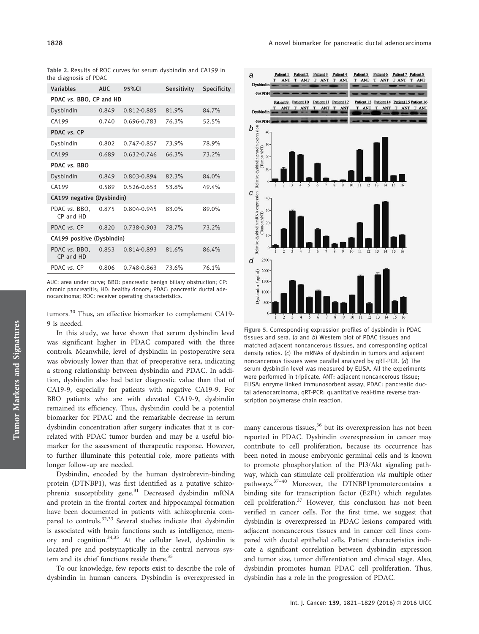|  |                       |  |  | Table 2. Results of ROC curves for serum dysbindin and CA199 in |  |  |
|--|-----------------------|--|--|-----------------------------------------------------------------|--|--|
|  | the diagnosis of PDAC |  |  |                                                                 |  |  |

|  | <b>Variables</b>           | AUC.  | 95%CI       | Sensitivity | <b>Specificity</b> |  |  |  |
|--|----------------------------|-------|-------------|-------------|--------------------|--|--|--|
|  | PDAC vs. BBO, CP and HD    |       |             |             |                    |  |  |  |
|  | Dysbindin                  | 0.849 | 0.812-0.885 | 81.9%       | 84.7%              |  |  |  |
|  | CA199                      | 0.740 | 0.696-0.783 | 76.3%       | 52.5%              |  |  |  |
|  | PDAC vs. CP                |       |             |             |                    |  |  |  |
|  | Dysbindin                  | 0.802 | 0.747-0.857 | 73.9%       | 78.9%              |  |  |  |
|  | CA199                      | 0.689 | 0.632-0.746 | 66.3%       | 73.2%              |  |  |  |
|  | PDAC vs. BBO               |       |             |             |                    |  |  |  |
|  | Dysbindin                  | 0.849 | 0.803-0.894 | 82.3%       | 84.0%              |  |  |  |
|  | CA199                      | 0.589 | 0.526-0.653 | 53.8%       | 49.4%              |  |  |  |
|  | CA199 negative (Dysbindin) |       |             |             |                    |  |  |  |
|  | PDAC vs. BBO,<br>CP and HD | 0.875 | 0.804-0.945 | 83.0%       | 89.0%              |  |  |  |
|  | PDAC vs. CP                | 0.820 | 0.738-0.903 | 78.7%       | 73.2%              |  |  |  |
|  | CA199 positive (Dysbindin) |       |             |             |                    |  |  |  |
|  | PDAC vs. BBO,<br>CP and HD | 0.853 | 0.814-0.893 | 81.6%       | 86.4%              |  |  |  |
|  | PDAC vs. CP                | 0.806 | 0.748-0.863 | 73.6%       | 76.1%              |  |  |  |

AUC: area under curve; BBO: pancreatic benign biliary obstruction; CP: chronic pancreatitis; HD: healthy donors; PDAC: pancreatic ductal adenocarcinoma; ROC: receiver operating characteristics.

tumors.<sup>30</sup> Thus, an effective biomarker to complement CA19-9 is needed.

In this study, we have shown that serum dysbindin level was significant higher in PDAC compared with the three controls. Meanwhile, level of dysbindin in postoperative sera was obviously lower than that of preoperative sera, indicating a strong relationship between dysbindin and PDAC. In addition, dysbindin also had better diagnostic value than that of CA19-9, especially for patients with negative CA19-9. For BBO patients who are with elevated CA19-9, dysbindin remained its efficiency. Thus, dysbindin could be a potential biomarker for PDAC and the remarkable decrease in serum dysbindin concentration after surgery indicates that it is correlated with PDAC tumor burden and may be a useful biomarker for the assessment of therapeutic response. However, to further illuminate this potential role, more patients with longer follow-up are needed.

Dysbindin, encoded by the human dystrobrevin-binding protein (DTNBP1), was first identified as a putative schizophrenia susceptibility gene.<sup>31</sup> Decreased dysbindin mRNA and protein in the frontal cortex and hippocampal formation have been documented in patients with schizophrenia compared to controls.<sup>32,33</sup> Several studies indicate that dysbindin is associated with brain functions such as intelligence, memory and cognition.34,35 At the cellular level, dysbindin is located pre and postsynaptically in the central nervous system and its chief functions reside there.<sup>35</sup>

To our knowledge, few reports exist to describe the role of dysbindin in human cancers. Dysbindin is overexpressed in



Figure 5. Corresponding expression profiles of dysbindin in PDAC tissues and sera. (a and b) Western blot of PDAC tissues and matched adjacent noncancerous tissues, and corresponding optical density ratios. (c) The mRNAs of dysbindin in tumors and adjacent noncancerous tissues were parallel analyzed by qRT-PCR. (d) The serum dysbindin level was measured by ELISA. All the experiments were performed in triplicate. ANT: adjacent noncancerous tissue; ELISA: enzyme linked immunosorbent assay; PDAC: pancreatic ductal adenocarcinoma; qRT-PCR: quantitative real-time reverse transcription polymerase chain reaction.

many cancerous tissues,<sup>36</sup> but its overexpression has not been reported in PDAC. Dysbindin overexpression in cancer may contribute to cell proliferation, because its occurrence has been noted in mouse embryonic germinal cells and is known to promote phosphorylation of the PI3/Akt signaling pathway, which can stimulate cell proliferation via multiple other pathways.37–40 Moreover, the DTNBP1promotercontains a binding site for transcription factor (E2F1) which regulates cell proliferation. $37$  However, this conclusion has not been verified in cancer cells. For the first time, we suggest that dysbindin is overexpressed in PDAC lesions compared with adjacent noncancerous tissues and in cancer cell lines compared with ductal epithelial cells. Patient characteristics indicate a significant correlation between dysbindin expression and tumor size, tumor differentiation and clinical stage. Also, dysbindin promotes human PDAC cell proliferation. Thus, dysbindin has a role in the progression of PDAC.

Tumor Markers and Signatures

Tumor Markers and Signatures